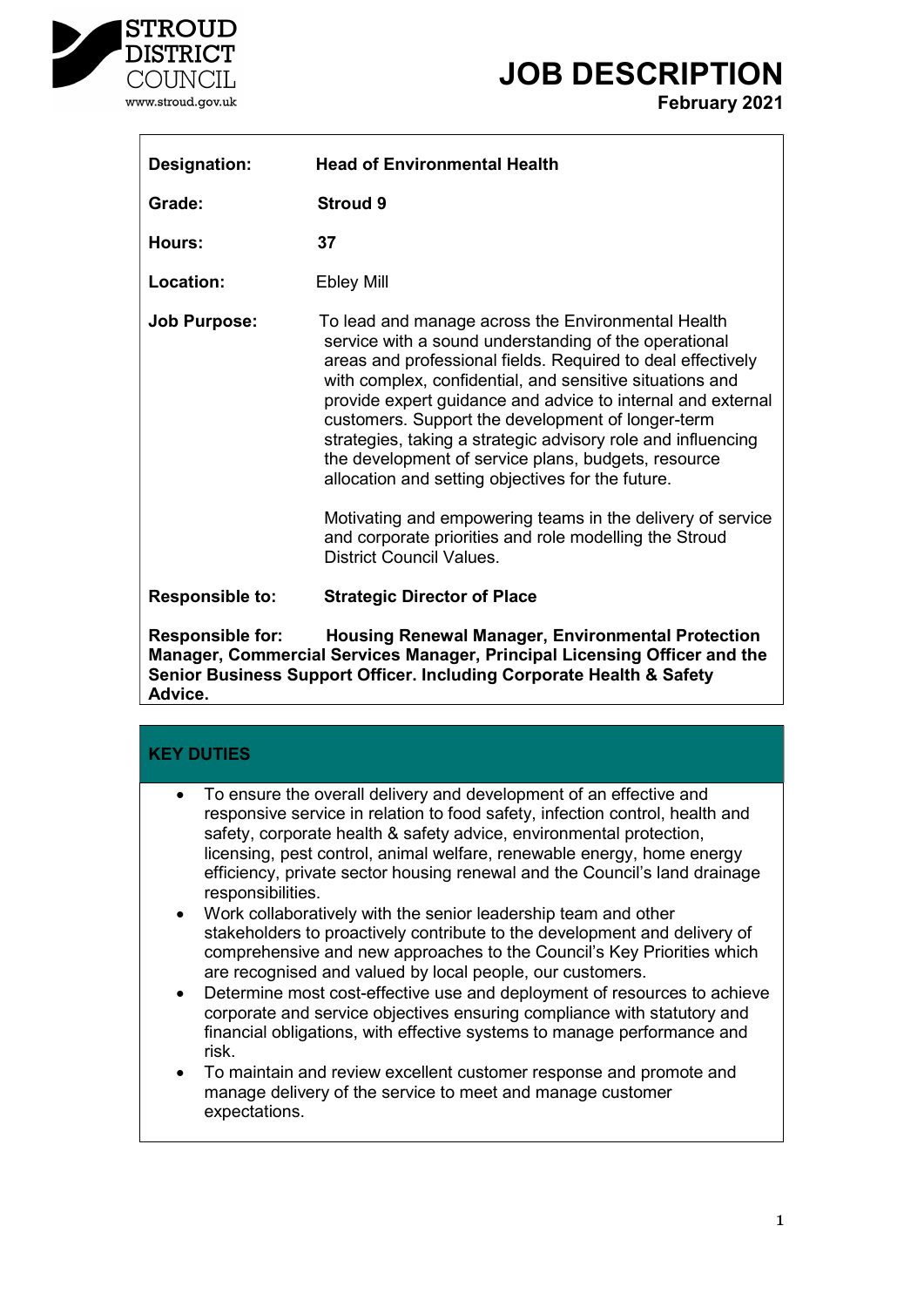

## JOB DESCRIPTION

February 2021

| <b>Designation:</b>    | <b>Head of Environmental Health</b>                                                                                                                                                                                                                                                                                                                                                                                                                                                                                                                                                                                                                                                               |
|------------------------|---------------------------------------------------------------------------------------------------------------------------------------------------------------------------------------------------------------------------------------------------------------------------------------------------------------------------------------------------------------------------------------------------------------------------------------------------------------------------------------------------------------------------------------------------------------------------------------------------------------------------------------------------------------------------------------------------|
| Grade:                 | Stroud 9                                                                                                                                                                                                                                                                                                                                                                                                                                                                                                                                                                                                                                                                                          |
| Hours:                 | 37                                                                                                                                                                                                                                                                                                                                                                                                                                                                                                                                                                                                                                                                                                |
| <b>Location:</b>       | <b>Ebley Mill</b>                                                                                                                                                                                                                                                                                                                                                                                                                                                                                                                                                                                                                                                                                 |
| <b>Job Purpose:</b>    | To lead and manage across the Environmental Health<br>service with a sound understanding of the operational<br>areas and professional fields. Required to deal effectively<br>with complex, confidential, and sensitive situations and<br>provide expert guidance and advice to internal and external<br>customers. Support the development of longer-term<br>strategies, taking a strategic advisory role and influencing<br>the development of service plans, budgets, resource<br>allocation and setting objectives for the future.<br>Motivating and empowering teams in the delivery of service<br>and corporate priorities and role modelling the Stroud<br><b>District Council Values.</b> |
| <b>Responsible to:</b> | <b>Strategic Director of Place</b>                                                                                                                                                                                                                                                                                                                                                                                                                                                                                                                                                                                                                                                                |

Responsible for: Housing Renewal Manager, Environmental Protection Manager, Commercial Services Manager, Principal Licensing Officer and the Senior Business Support Officer. Including Corporate Health & Safety Advice.

| <b>KEY DUTIES</b>      |                                                                                                                                                                                                                                                                                                                                                                                                                                                                                                                                                                                                       |
|------------------------|-------------------------------------------------------------------------------------------------------------------------------------------------------------------------------------------------------------------------------------------------------------------------------------------------------------------------------------------------------------------------------------------------------------------------------------------------------------------------------------------------------------------------------------------------------------------------------------------------------|
| $\bullet$              | To ensure the overall delivery and development of an effective and<br>responsive service in relation to food safety, infection control, health and<br>safety, corporate health & safety advice, environmental protection,<br>licensing, pest control, animal welfare, renewable energy, home energy<br>efficiency, private sector housing renewal and the Council's land drainage<br>responsibilities.                                                                                                                                                                                                |
| $\bullet$<br>$\bullet$ | • Work collaboratively with the senior leadership team and other<br>stakeholders to proactively contribute to the development and delivery of<br>comprehensive and new approaches to the Council's Key Priorities which<br>are recognised and valued by local people, our customers.<br>Determine most cost-effective use and deployment of resources to achieve<br>corporate and service objectives ensuring compliance with statutory and<br>financial obligations, with effective systems to manage performance and<br>risk.<br>To maintain and review excellent customer response and promote and |
|                        | manage delivery of the service to meet and manage customer<br>expectations.                                                                                                                                                                                                                                                                                                                                                                                                                                                                                                                           |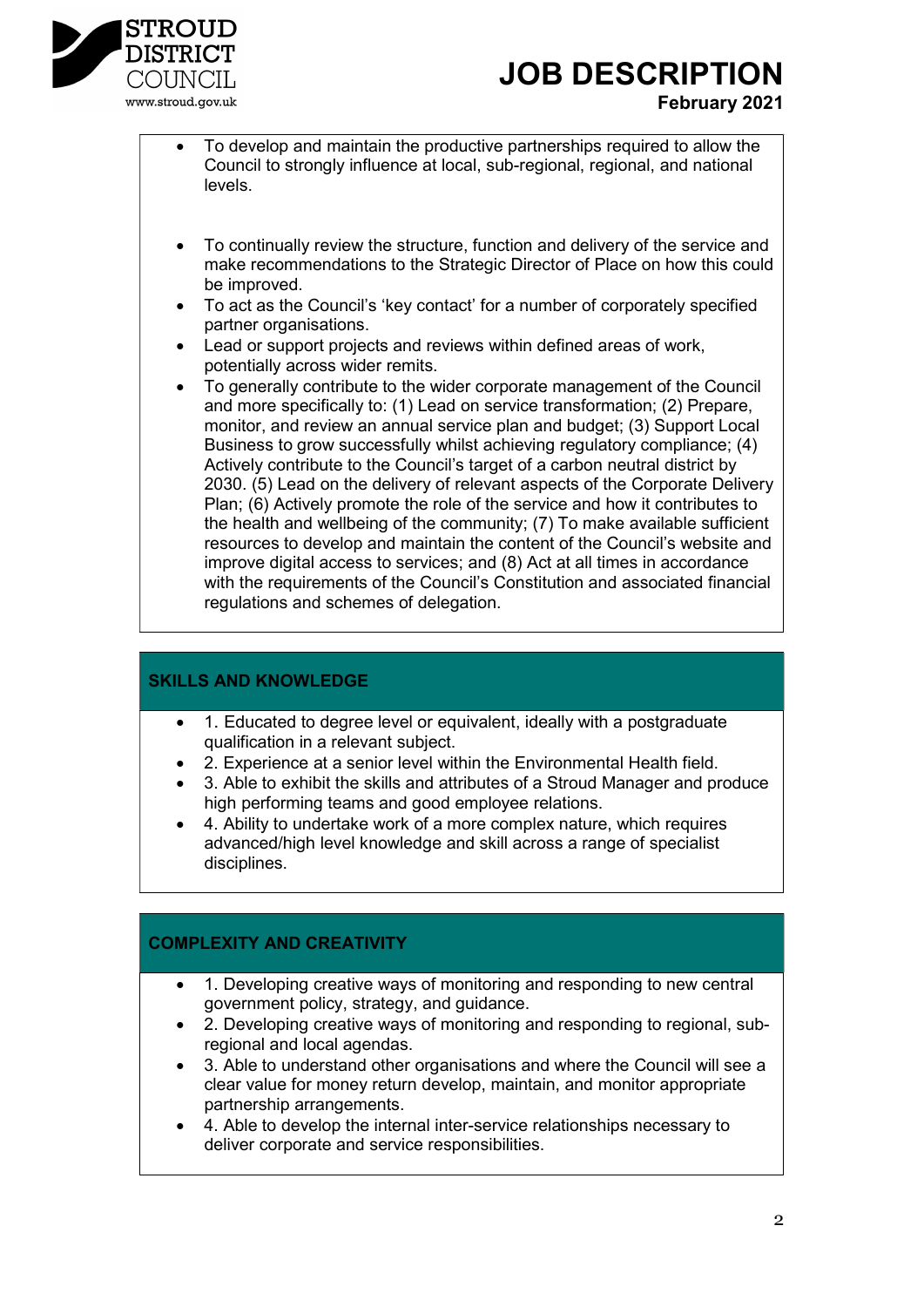

### JOB DESCRIPTION February 2021

- To develop and maintain the productive partnerships required to allow the Council to strongly influence at local, sub-regional, regional, and national levels.
- To continually review the structure, function and delivery of the service and make recommendations to the Strategic Director of Place on how this could be improved.
- To act as the Council's 'key contact' for a number of corporately specified partner organisations.
- Lead or support projects and reviews within defined areas of work, potentially across wider remits.
- To generally contribute to the wider corporate management of the Council and more specifically to: (1) Lead on service transformation; (2) Prepare, monitor, and review an annual service plan and budget; (3) Support Local Business to grow successfully whilst achieving regulatory compliance; (4) Actively contribute to the Council's target of a carbon neutral district by 2030. (5) Lead on the delivery of relevant aspects of the Corporate Delivery Plan; (6) Actively promote the role of the service and how it contributes to the health and wellbeing of the community; (7) To make available sufficient resources to develop and maintain the content of the Council's website and improve digital access to services; and (8) Act at all times in accordance with the requirements of the Council's Constitution and associated financial regulations and schemes of delegation.

#### SKILLS AND KNOWLEDGE

- 1. Educated to degree level or equivalent, ideally with a postgraduate qualification in a relevant subject.
- 2. Experience at a senior level within the Environmental Health field.
- 3. Able to exhibit the skills and attributes of a Stroud Manager and produce high performing teams and good employee relations.
- 4. Ability to undertake work of a more complex nature, which requires advanced/high level knowledge and skill across a range of specialist disciplines.

#### COMPLEXITY AND CREATIVITY

- 1. Developing creative ways of monitoring and responding to new central government policy, strategy, and guidance.
- 2. Developing creative ways of monitoring and responding to regional, subregional and local agendas.
- 3. Able to understand other organisations and where the Council will see a clear value for money return develop, maintain, and monitor appropriate partnership arrangements.
- 4. Able to develop the internal inter-service relationships necessary to deliver corporate and service responsibilities.